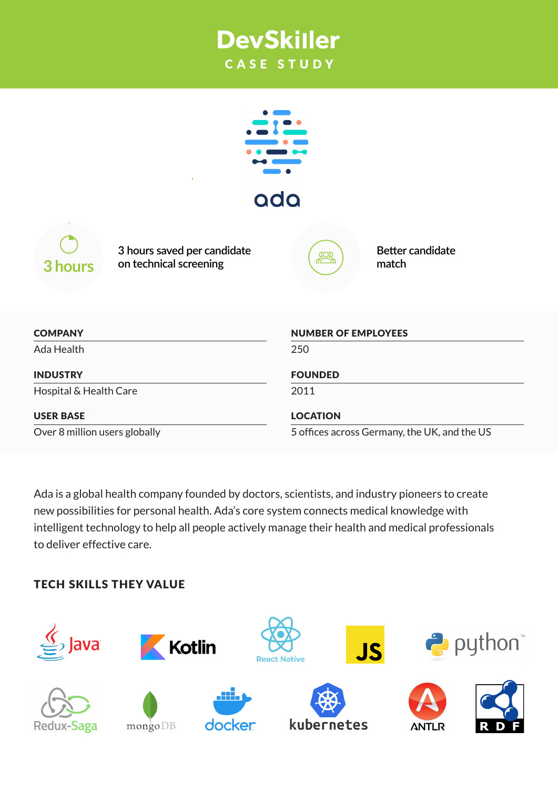# **DevSkiller** CASE STUDY

| ada                                                              |                                                |
|------------------------------------------------------------------|------------------------------------------------|
| 3 hours saved per candidate<br>on technical screening<br>3 hours | <b>Better candidate</b><br><b>JOR</b><br>match |
| <b>COMPANY</b>                                                   | <b>NUMBER OF EMPLOYEES</b>                     |
| Ada Health                                                       | 250                                            |
| <b>INDUSTRY</b>                                                  | <b>FOUNDED</b>                                 |
| Hospital & Health Care                                           | 2011                                           |
| <b>USER BASE</b>                                                 | <b>LOCATION</b>                                |
| Over 8 million users globally                                    | 5 offices across Germany, the UK, and the US   |

Ada is a global health company founded by doctors, scientists, and industry pioneers to create new possibilities for personal health. Ada's core system connects medical knowledge with intelligent technology to help all people actively manage their health and medical professionals to deliver effective care.

## TECH SKILLS THEY VALUE

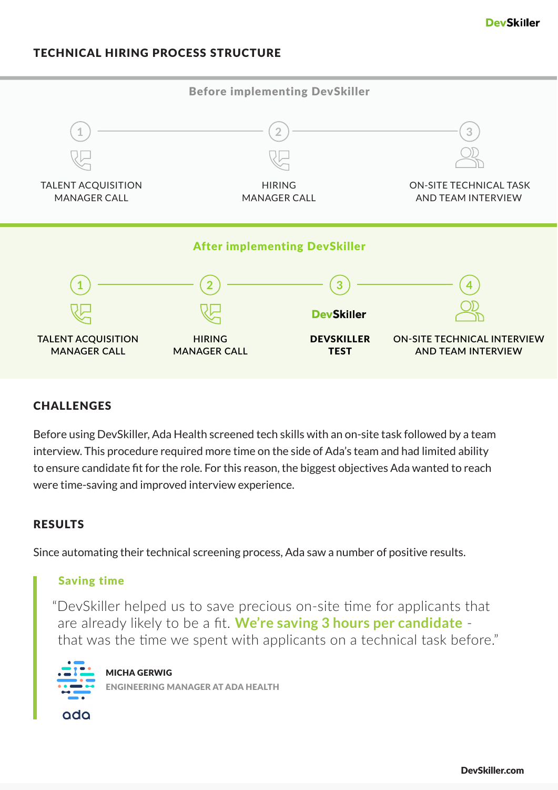#### TECHNICAL HIRING PROCESS STRUCTURE



#### **CHALLENGES**

Before using DevSkiller, Ada Health screened tech skills with an on-site task followed by a team interview. This procedure required more time on the side of Ada's team and had limited ability to ensure candidate fit for the role. For this reason, the biggest objectives Ada wanted to reach were time-saving and improved interview experience.

#### RESULTS

Since automating their technical screening process, Ada saw a number of positive results.

#### Saving time

"DevSkiller helped us to save precious on-site time for applicants that are already likely to be a fit. **We're saving 3 hours per candidate** that was the time we spent with applicants on a technical task before."



MICHA GERWIG ENGINEERING MANAGER AT ADA HEALTH